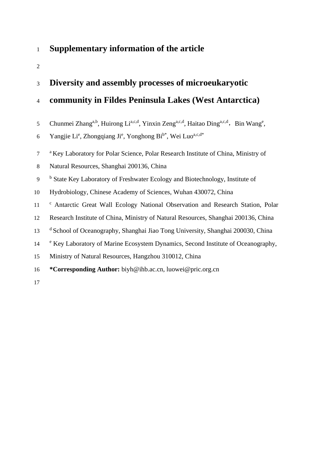## **Supplementary information of the article**

## **Diversity and assembly processes of microeukaryotic**

## **community in Fildes Peninsula Lakes (West Antarctica)**

- 5 Chunmei Zhang<sup>a,b</sup>, Huirong Li<sup>a,c,d</sup>, Yinxin Zeng<sup>a,c,d</sup>, Haitao Ding<sup>a,c,d</sup>, Bin Wang<sup>e</sup>,
- 6 Yangjie Li<sup>e</sup>, Zhongqiang Ji<sup>e</sup>, Yonghong Bi<sup>b\*</sup>, Wei Luo<sup>a,c,d\*</sup>
- <sup>a</sup> Key Laboratory for Polar Science, Polar Research Institute of China, Ministry of
- Natural Resources, Shanghai 200136, China
- <sup>b</sup> State Key Laboratory of Freshwater Ecology and Biotechnology, Institute of
- Hydrobiology, Chinese Academy of Sciences, Wuhan 430072, China
- <sup>c</sup> Antarctic Great Wall Ecology National Observation and Research Station, Polar
- Research Institute of China, Ministry of Natural Resources, Shanghai 200136, China
- <sup>d</sup> School of Oceanography, Shanghai Jiao Tong University, Shanghai 200030, China
- <sup>e</sup> Key Laboratory of Marine Ecosystem Dynamics, Second Institute of Oceanography,
- Ministry of Natural Resources, Hangzhou 310012, China
- **\*Corresponding Author:** biyh@ihb.ac.cn, luowei@pric.org.cn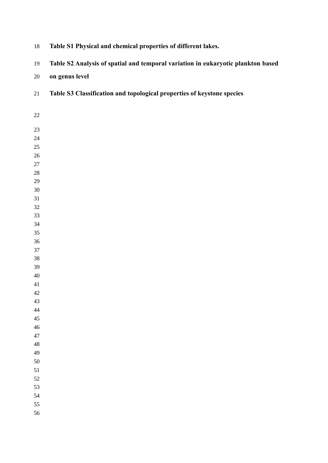| $18\,$   | Table S1 Physical and chemical properties of different lakes.                    |
|----------|----------------------------------------------------------------------------------|
| 19       | Table S2 Analysis of spatial and temporal variation in eukaryotic plankton based |
| $20\,$   | on genus level                                                                   |
| 21       | Table S3 Classification and topological properties of keystone species           |
| 22       |                                                                                  |
| 23       |                                                                                  |
| 24       |                                                                                  |
| 25       |                                                                                  |
| 26       |                                                                                  |
| $27\,$   |                                                                                  |
| $28\,$   |                                                                                  |
| 29       |                                                                                  |
| $30\,$   |                                                                                  |
| 31       |                                                                                  |
| 32       |                                                                                  |
| 33       |                                                                                  |
| 34       |                                                                                  |
| 35       |                                                                                  |
| 36       |                                                                                  |
| 37       |                                                                                  |
| 38<br>39 |                                                                                  |
| 40       |                                                                                  |
| 41       |                                                                                  |
| 42       |                                                                                  |
| 43       |                                                                                  |
| 44       |                                                                                  |
| 45       |                                                                                  |
| 46       |                                                                                  |
| 47       |                                                                                  |
| 48       |                                                                                  |
| 49       |                                                                                  |
| 50       |                                                                                  |
| 51       |                                                                                  |
| 52       |                                                                                  |
| 53       |                                                                                  |
| 54       |                                                                                  |
| 55       |                                                                                  |
| 56       |                                                                                  |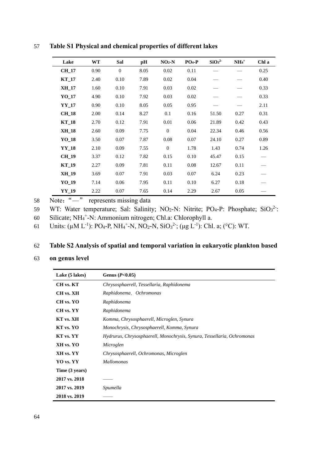| Lake         | <b>WT</b> | Sal      | pH   | $NO2-N$  | $PO_4$ -P | SiO <sub>3</sub> <sup>2</sup> | $NH_4$ <sup>+</sup> | Chl a |
|--------------|-----------|----------|------|----------|-----------|-------------------------------|---------------------|-------|
| <b>CH 17</b> | 0.90      | $\Omega$ | 8.05 | 0.02     | 0.11      |                               |                     | 0.25  |
| $KT_17$      | 2.40      | 0.10     | 7.89 | 0.02     | 0.04      |                               |                     | 0.40  |
| <b>XH 17</b> | 1.60      | 0.10     | 7.91 | 0.03     | 0.02      |                               |                     | 0.33  |
| YO 17        | 4.90      | 0.10     | 7.92 | 0.03     | 0.02      |                               |                     | 0.33  |
| <b>YY 17</b> | 0.90      | 0.10     | 8.05 | 0.05     | 0.95      |                               |                     | 2.11  |
| <b>CH 18</b> | 2.00      | 0.14     | 8.27 | 0.1      | 0.16      | 51.50                         | 0.27                | 0.31  |
| $KT_18$      | 2.70      | 0.12     | 7.91 | 0.01     | 0.06      | 21.89                         | 0.42                | 0.43  |
| <b>XH_18</b> | 2.60      | 0.09     | 7.75 | $\Omega$ | 0.04      | 22.34                         | 0.46                | 0.56  |
| YO 18        | 3.50      | 0.07     | 7.87 | 0.08     | 0.07      | 24.10                         | 0.27                | 0.89  |
| YY_18        | 2.10      | 0.09     | 7.55 | $\Omega$ | 1.78      | 1.43                          | 0.74                | 1.26  |
| <b>CH_19</b> | 3.37      | 0.12     | 7.82 | 0.15     | 0.10      | 45.47                         | 0.15                |       |
| $KT_19$      | 2.27      | 0.09     | 7.81 | 0.11     | 0.08      | 12.67                         | 0.11                |       |
| <b>XH 19</b> | 3.69      | 0.07     | 7.91 | 0.03     | 0.07      | 6.24                          | 0.23                |       |
| YO 19        | 7.14      | 0.06     | 7.95 | 0.11     | 0.10      | 6.27                          | 0.18                |       |
| $YY_19$      | 2.22      | 0.07     | 7.65 | 0.14     | 2.29      | 2.67                          | 0.05                |       |

57 **Table S1 Physical and chemical properties of different lakes**

58 Note:"—" represents missing data

59 WT: Water temperature; Sal: Salinity; NO<sub>2</sub>-N: Nitrite; PO<sub>4</sub>-P: Phosphate;  $SiO_3^2$ :

60 Silicate; NH<sub>4</sub><sup>+</sup>-N: Ammonium nitrogen; Chl.a: Chlorophyll a.

61 Units:  $(\mu M L^{-1})$ : PO<sub>4</sub>-P, NH<sub>4</sub><sup>+</sup>-N, NO<sub>2</sub>-N, SiO<sub>3</sub><sup>2</sup>; ( $\mu$ g L<sup>-1</sup>): Chl. a; (°C): WT.

## 62 **Table S2 Analysis of spatial and temporal variation in eukaryotic plankton based**

63 **on genus level**

| Lake (5 lakes) | Genus $(P<0.05)$                                                        |  |  |  |  |  |
|----------------|-------------------------------------------------------------------------|--|--|--|--|--|
| CH vs. KT      | Chrysosphaerell, Tessellaria, Raphidonema                               |  |  |  |  |  |
| CH vs. XH      | Raphidonema, Ochromonas                                                 |  |  |  |  |  |
| CH vs. YO      | Raphidonema                                                             |  |  |  |  |  |
| CH vs. YY      | Raphidonema                                                             |  |  |  |  |  |
| KT vs. XH      | Komma, Chrysosphaerell, Microglen, Synura                               |  |  |  |  |  |
| KT vs. YO      | Monochrysis, Chrysosphaerell, Komma, Synura                             |  |  |  |  |  |
| KT vs. YY      | Hydrurus, Chrysosphaerell, Monochrysis, Synura, Tessellaria, Ochromonas |  |  |  |  |  |
| XH vs. YO      | Microglen                                                               |  |  |  |  |  |
| XH vs. YY      | Chrysosphaerell, Ochromonas, Microglen                                  |  |  |  |  |  |
| YO vs. YY      | <b>Mallomonas</b>                                                       |  |  |  |  |  |
| Time (3 years) |                                                                         |  |  |  |  |  |
| 2017 vs. 2018  |                                                                         |  |  |  |  |  |
| 2017 vs. 2019  | Spumella                                                                |  |  |  |  |  |
| 2018 vs. 2019  |                                                                         |  |  |  |  |  |